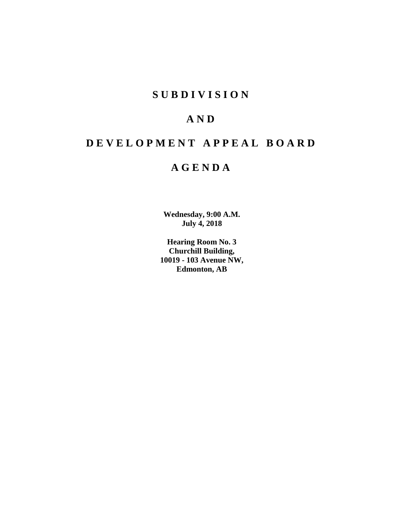# **SUBDIVISION**

# **AND**

# **DEVELOPMENT APPEAL BOARD**

# **AGENDA**

**Wednesday, 9:00 A.M. July 4, 2018**

**Hearing Room No. 3 Churchill Building, 10019 - 103 Avenue NW, Edmonton, AB**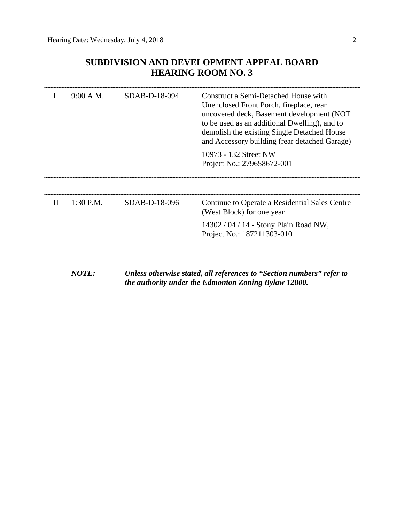# **SUBDIVISION AND DEVELOPMENT APPEAL BOARD HEARING ROOM NO. 3**

|              | 9:00 A.M.   | SDAB-D-18-094 | Construct a Semi-Detached House with<br>Unenclosed Front Porch, fireplace, rear<br>uncovered deck, Basement development (NOT<br>to be used as an additional Dwelling), and to<br>demolish the existing Single Detached House<br>and Accessory building (rear detached Garage) |
|--------------|-------------|---------------|-------------------------------------------------------------------------------------------------------------------------------------------------------------------------------------------------------------------------------------------------------------------------------|
|              |             |               | 10973 - 132 Street NW<br>Project No.: 279658672-001                                                                                                                                                                                                                           |
|              |             |               |                                                                                                                                                                                                                                                                               |
| $\mathbf{I}$ | $1:30$ P.M. | SDAB-D-18-096 | Continue to Operate a Residential Sales Centre<br>(West Block) for one year                                                                                                                                                                                                   |
|              |             |               | 14302 / 04 / 14 - Stony Plain Road NW,<br>Project No.: 187211303-010                                                                                                                                                                                                          |
|              |             |               |                                                                                                                                                                                                                                                                               |

*NOTE: Unless otherwise stated, all references to "Section numbers" refer to the authority under the Edmonton Zoning Bylaw 12800.*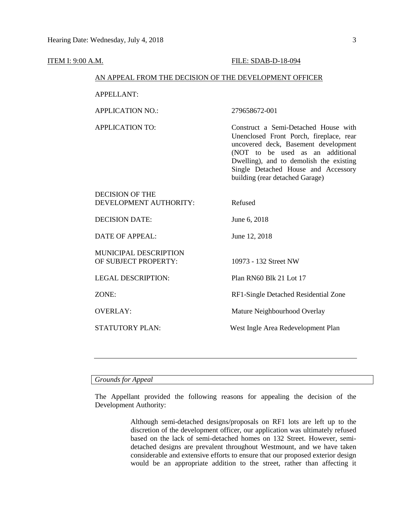#### **ITEM I: 9:00 A.M. FILE: SDAB-D-18-094**

## AN APPEAL FROM THE DECISION OF THE DEVELOPMENT OFFICER

APPELLANT:

APPLICATION NO.: 279658672-001

APPLICATION TO: Construct a Semi-Detached House with Unenclosed Front Porch, fireplace, rear uncovered deck, Basement development (NOT to be used as an additional Dwelling), and to demolish the existing Single Detached House and Accessory building (rear detached Garage)

| DECISION OF THE        |                                      |
|------------------------|--------------------------------------|
| DEVELOPMENT AUTHORITY: | Refused                              |
| DECISION DATE:         | June 6, 2018                         |
| DATE OF APPEAL:        | June 12, 2018                        |
| MUNICIPAL DESCRIPTION  |                                      |
| OF SUBJECT PROPERTY:   | 10973 - 132 Street NW                |
| LEGAL DESCRIPTION:     | Plan RN60 Blk 21 Lot 17              |
| ZONE:                  | RF1-Single Detached Residential Zone |
| <b>OVERLAY:</b>        | Mature Neighbourhood Overlay         |
| STATUTORY PLAN:        | West Ingle Area Redevelopment Plan   |
|                        |                                      |

# *Grounds for Appeal*

The Appellant provided the following reasons for appealing the decision of the Development Authority:

> Although semi-detached designs/proposals on RF1 lots are left up to the discretion of the development officer, our application was ultimately refused based on the lack of semi-detached homes on 132 Street. However, semidetached designs are prevalent throughout Westmount, and we have taken considerable and extensive efforts to ensure that our proposed exterior design would be an appropriate addition to the street, rather than affecting it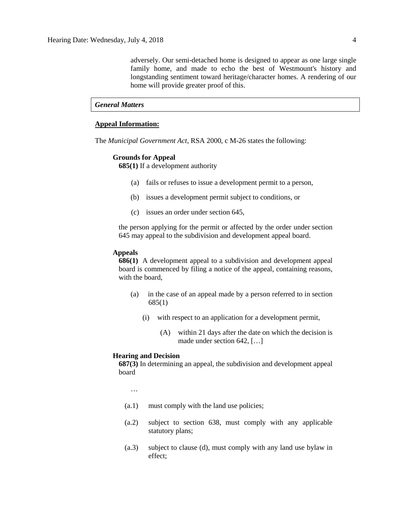adversely. Our semi-detached home is designed to appear as one large single family home, and made to echo the best of Westmount's history and longstanding sentiment toward heritage/character homes. A rendering of our home will provide greater proof of this.

#### *General Matters*

## **Appeal Information:**

The *Municipal Government Act*, RSA 2000, c M-26 states the following:

#### **Grounds for Appeal**

**685(1)** If a development authority

- (a) fails or refuses to issue a development permit to a person,
- (b) issues a development permit subject to conditions, or
- (c) issues an order under section 645,

the person applying for the permit or affected by the order under section 645 may appeal to the subdivision and development appeal board.

#### **Appeals**

**686(1)** A development appeal to a subdivision and development appeal board is commenced by filing a notice of the appeal, containing reasons, with the board,

- (a) in the case of an appeal made by a person referred to in section 685(1)
	- (i) with respect to an application for a development permit,
		- (A) within 21 days after the date on which the decision is made under section 642, […]

#### **Hearing and Decision**

**687(3)** In determining an appeal, the subdivision and development appeal board

…

- (a.1) must comply with the land use policies;
- (a.2) subject to section 638, must comply with any applicable statutory plans;
- (a.3) subject to clause (d), must comply with any land use bylaw in effect;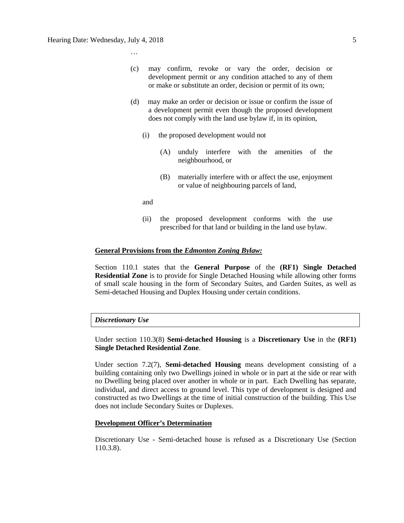…

- (c) may confirm, revoke or vary the order, decision or development permit or any condition attached to any of them or make or substitute an order, decision or permit of its own;
- (d) may make an order or decision or issue or confirm the issue of a development permit even though the proposed development does not comply with the land use bylaw if, in its opinion,
	- (i) the proposed development would not
		- (A) unduly interfere with the amenities of the neighbourhood, or
		- (B) materially interfere with or affect the use, enjoyment or value of neighbouring parcels of land,

and

(ii) the proposed development conforms with the use prescribed for that land or building in the land use bylaw.

## **General Provisions from the** *Edmonton Zoning Bylaw:*

Section 110.1 states that the **General Purpose** of the **(RF1) Single Detached Residential Zone** is to provide for Single Detached Housing while allowing other forms of small scale housing in the form of Secondary Suites, and Garden Suites, as well as Semi-detached Housing and Duplex Housing under certain conditions.

# *Discretionary Use*

Under section 110.3(8) **Semi-detached Housing** is a **Discretionary Use** in the **(RF1) Single Detached Residential Zone**.

Under section 7.2(7), **Semi-detached Housing** means development consisting of a building containing only two Dwellings joined in whole or in part at the side or rear with no Dwelling being placed over another in whole or in part. Each Dwelling has separate, individual, and direct access to ground level. This type of development is designed and constructed as two Dwellings at the time of initial construction of the building. This Use does not include Secondary Suites or Duplexes.

#### **Development Officer's Determination**

Discretionary Use - Semi-detached house is refused as a Discretionary Use (Section 110.3.8).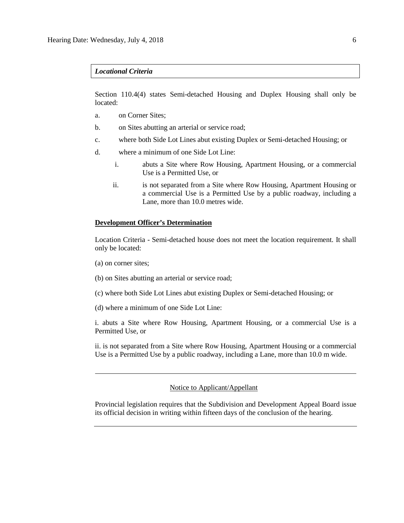#### *Locational Criteria*

Section 110.4(4) states Semi-detached Housing and Duplex Housing shall only be located:

- a. on Corner Sites;
- b. on Sites abutting an arterial or service road;
- c. where both Side Lot Lines abut existing Duplex or Semi-detached Housing; or
- d. where a minimum of one Side Lot Line:
	- i. abuts a Site where Row Housing, Apartment Housing, or a commercial Use is a Permitted Use, or
	- ii. is not separated from a Site where Row Housing, Apartment Housing or a commercial Use is a Permitted Use by a public roadway, including a Lane, more than [10.0 me](javascript:void(0);)tres wide.

# **Development Officer's Determination**

Location Criteria - Semi-detached house does not meet the location requirement. It shall only be located:

- (a) on corner sites;
- (b) on Sites abutting an arterial or service road;
- (c) where both Side Lot Lines abut existing Duplex or Semi-detached Housing; or
- (d) where a minimum of one Side Lot Line:

i. abuts a Site where Row Housing, Apartment Housing, or a commercial Use is a Permitted Use, or

ii. is not separated from a Site where Row Housing, Apartment Housing or a commercial Use is a Permitted Use by a public roadway, including a Lane, more than 10.0 m wide.

# Notice to Applicant/Appellant

Provincial legislation requires that the Subdivision and Development Appeal Board issue its official decision in writing within fifteen days of the conclusion of the hearing.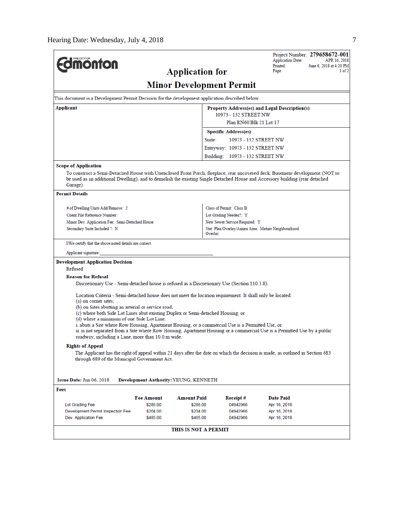$\overline{a}$ 

| <b>Umonton</b>                                                                                                                                |                               | <b>Application for</b>                       |                                                    | Project Number: 279658672-001<br><b>Application Date:</b><br>APR 16, 2018<br>Printed:<br>June 6, 2018 at 4:20 PM<br>1 of 2<br>Page:                                                                                                                          |  |  |
|-----------------------------------------------------------------------------------------------------------------------------------------------|-------------------------------|----------------------------------------------|----------------------------------------------------|--------------------------------------------------------------------------------------------------------------------------------------------------------------------------------------------------------------------------------------------------------------|--|--|
|                                                                                                                                               |                               | <b>Minor Development Permit</b>              |                                                    |                                                                                                                                                                                                                                                              |  |  |
| This document is a Development Permit Decision for the development application described below.                                               |                               |                                              |                                                    |                                                                                                                                                                                                                                                              |  |  |
| Applicant                                                                                                                                     |                               |                                              |                                                    | Property Address(es) and Legal Description(s)                                                                                                                                                                                                                |  |  |
|                                                                                                                                               |                               |                                              | 10973 - 132 STREET NW                              |                                                                                                                                                                                                                                                              |  |  |
|                                                                                                                                               |                               |                                              | Plan RN60 Blk 21 Lot 17                            |                                                                                                                                                                                                                                                              |  |  |
|                                                                                                                                               |                               |                                              | <b>Specific Address(es)</b>                        |                                                                                                                                                                                                                                                              |  |  |
|                                                                                                                                               |                               | Suite:                                       | 10973 - 132 STREET NW                              |                                                                                                                                                                                                                                                              |  |  |
|                                                                                                                                               |                               |                                              | Entryway: 10973 - 132 STREET NW                    |                                                                                                                                                                                                                                                              |  |  |
|                                                                                                                                               |                               |                                              | Building: 10973 - 132 STREET NW                    |                                                                                                                                                                                                                                                              |  |  |
| <b>Scope of Application</b>                                                                                                                   |                               |                                              |                                                    |                                                                                                                                                                                                                                                              |  |  |
| Garage).                                                                                                                                      |                               |                                              |                                                    | To construct a Semi-Detached House with Unenclosed Front Porch, fireplace, rear uncovered deck, Basement development (NOT to<br>be used as an additional Dwelling), and to demolish the existing Single Detached House and Accessory building (rear detached |  |  |
| <b>Permit Details</b>                                                                                                                         |                               |                                              |                                                    |                                                                                                                                                                                                                                                              |  |  |
| # of Dwelling Units Add/Remove: 2                                                                                                             |                               |                                              |                                                    |                                                                                                                                                                                                                                                              |  |  |
| Client File Reference Number:                                                                                                                 |                               |                                              | Class of Permit: Class B<br>Lot Grading Needed?: Y |                                                                                                                                                                                                                                                              |  |  |
| Minor Dev. Application Fee: Semi-Detached House                                                                                               |                               |                                              | New Sewer Service Required: Y                      |                                                                                                                                                                                                                                                              |  |  |
| Secondary Suite Included ?: N                                                                                                                 |                               | Overlay                                      |                                                    | Stat. Plan Overlay/Annex Area: Mature Neighbourhood                                                                                                                                                                                                          |  |  |
| I/We certify that the above noted details are correct.                                                                                        |                               |                                              |                                                    |                                                                                                                                                                                                                                                              |  |  |
| Applicant signature:                                                                                                                          |                               |                                              |                                                    |                                                                                                                                                                                                                                                              |  |  |
| <b>Development Application Decision</b>                                                                                                       |                               |                                              |                                                    |                                                                                                                                                                                                                                                              |  |  |
| Refused                                                                                                                                       |                               |                                              |                                                    |                                                                                                                                                                                                                                                              |  |  |
| <b>Reason for Refusal</b>                                                                                                                     |                               |                                              |                                                    |                                                                                                                                                                                                                                                              |  |  |
| Discretionary Use - Semi-detached house is refused as a Discretionary Use (Section 110.3.8).                                                  |                               |                                              |                                                    |                                                                                                                                                                                                                                                              |  |  |
| Location Criteria - Semi-detached house does not meet the location requirement. It shall only be located:<br>(a) on corner sites;             |                               |                                              |                                                    |                                                                                                                                                                                                                                                              |  |  |
| (b) on Sites abutting an arterial or service road;                                                                                            |                               |                                              |                                                    |                                                                                                                                                                                                                                                              |  |  |
| (c) where both Side Lot Lines abut existing Duplex or Semi-detached Housing; or                                                               |                               |                                              |                                                    |                                                                                                                                                                                                                                                              |  |  |
| (d) where a minimum of one Side Lot Line:<br>i. abuts a Site where Row Housing, Apartment Housing, or a commercial Use is a Permitted Use, or |                               |                                              |                                                    |                                                                                                                                                                                                                                                              |  |  |
|                                                                                                                                               |                               |                                              |                                                    | ii. is not separated from a Site where Row Housing, Apartment Housing or a commercial Use is a Permitted Use by a public                                                                                                                                     |  |  |
| roadway, including a Lane, more than 10.0 m wide.                                                                                             |                               |                                              |                                                    |                                                                                                                                                                                                                                                              |  |  |
| <b>Rights of Appeal</b>                                                                                                                       |                               |                                              |                                                    |                                                                                                                                                                                                                                                              |  |  |
| through 689 of the Municipal Government Act.                                                                                                  |                               |                                              |                                                    | The Applicant has the right of appeal within 21 days after the date on which the decision is made, as outlined in Section 683                                                                                                                                |  |  |
|                                                                                                                                               |                               |                                              |                                                    |                                                                                                                                                                                                                                                              |  |  |
| Issue Date: Jun 06, 2018                                                                                                                      |                               | <b>Development Authority: YEUNG, KENNETH</b> |                                                    |                                                                                                                                                                                                                                                              |  |  |
| Fees                                                                                                                                          |                               |                                              |                                                    |                                                                                                                                                                                                                                                              |  |  |
|                                                                                                                                               |                               |                                              |                                                    |                                                                                                                                                                                                                                                              |  |  |
| Lot Grading Fee                                                                                                                               | <b>Fee Amount</b><br>\$286.00 | Amount Paid<br>\$286.00                      | Receipt#<br>04942966                               | <b>Date Paid</b><br>Apr 16, 2018                                                                                                                                                                                                                             |  |  |
| Development Permit Inspection Fee                                                                                                             | \$204.00                      | \$204.00                                     | 04942966                                           | Apr 16, 2018                                                                                                                                                                                                                                                 |  |  |
|                                                                                                                                               |                               | \$485.00                                     |                                                    |                                                                                                                                                                                                                                                              |  |  |
| Dev. Application Fee                                                                                                                          | \$485.00                      |                                              | 04942966                                           | Apr 16, 2018                                                                                                                                                                                                                                                 |  |  |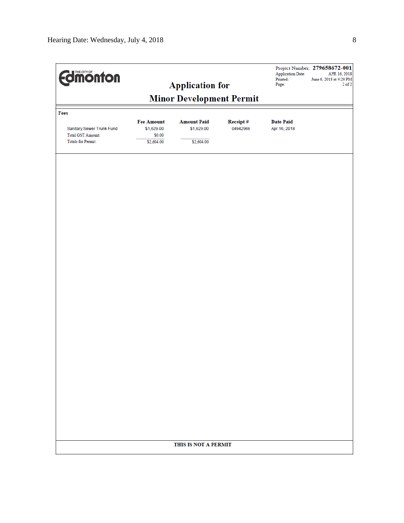| <b>Edimonton</b>                                                                   |                                                         | <b>Application for</b>                         |                      | <b>Application Date:</b><br>Printed:<br>Page: | Project Number: 279658672-001<br>APR 16, 2018<br>June 6, 2018 at 4:20 PM<br>$2$ of $2$ |
|------------------------------------------------------------------------------------|---------------------------------------------------------|------------------------------------------------|----------------------|-----------------------------------------------|----------------------------------------------------------------------------------------|
|                                                                                    |                                                         | <b>Minor Development Permit</b>                |                      |                                               |                                                                                        |
| Fees                                                                               |                                                         |                                                |                      |                                               |                                                                                        |
| Sanitary Sewer Trunk Fund<br><b>Total GST Amount:</b><br><b>Totals for Permit:</b> | <b>Fee Amount</b><br>\$1,629.00<br>\$0.00<br>\$2,604.00 | <b>Amount Paid</b><br>\$1,629.00<br>\$2,604.00 | Receipt#<br>04942966 | <b>Date Paid</b><br>Apr 16, 2018              |                                                                                        |
|                                                                                    |                                                         |                                                |                      |                                               |                                                                                        |
|                                                                                    |                                                         |                                                |                      |                                               |                                                                                        |
|                                                                                    |                                                         |                                                |                      |                                               |                                                                                        |
|                                                                                    |                                                         |                                                |                      |                                               |                                                                                        |
|                                                                                    |                                                         |                                                |                      |                                               |                                                                                        |
|                                                                                    |                                                         |                                                |                      |                                               |                                                                                        |
|                                                                                    |                                                         |                                                |                      |                                               |                                                                                        |
|                                                                                    |                                                         |                                                |                      |                                               |                                                                                        |
|                                                                                    |                                                         |                                                |                      |                                               |                                                                                        |
|                                                                                    |                                                         |                                                |                      |                                               |                                                                                        |
|                                                                                    |                                                         | THIS IS NOT A PERMIT                           |                      |                                               |                                                                                        |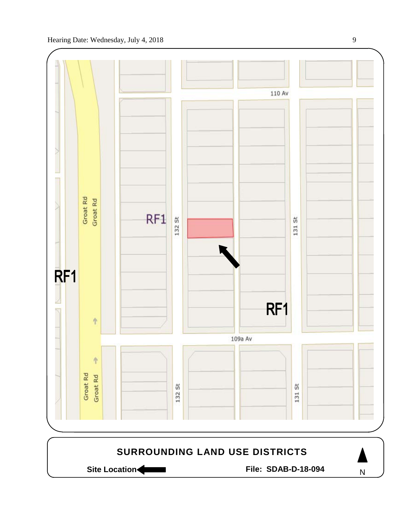

Site Location **Community Contracts** File: SDAB-D-18-094 **SURROUNDING LAND USE DISTRICTS** N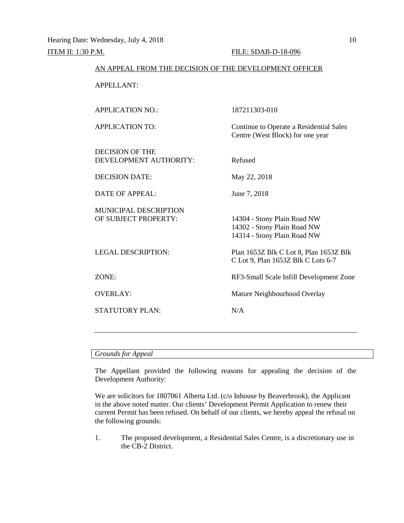## AN APPEAL FROM THE DECISION OF THE DEVELOPMENT OFFICER

APPELLANT:

APPLICATION NO.: 187211303-010 APPLICATION TO: Continue to Operate a Residential Sales Centre (West Block) for one year DECISION OF THE DEVELOPMENT AUTHORITY: Refused DECISION DATE: May 22, 2018 DATE OF APPEAL: June 7, 2018 MUNICIPAL DESCRIPTION<br>OF SUBJECT PROPERTY: 14304 - Stony Plain Road NW 14302 - Stony Plain Road NW 14314 - Stony Plain Road NW LEGAL DESCRIPTION: Plan 1653Z Blk C Lot 8, Plan 1653Z Blk C Lot 9, Plan 1653Z Blk C Lots 6-7 ZONE: RF3-Small Scale Infill Development Zone OVERLAY: Mature Neighbourhood Overlay STATUTORY PLAN: N/A

#### *Grounds for Appeal*

The Appellant provided the following reasons for appealing the decision of the Development Authority:

We are solicitors for 1807061 Alberta Ltd. (c/o Inhouse by Beaverbrook), the Applicant in the above noted matter. Our clients' Development Permit Application to renew their current Permit has been refused. On behalf of our clients, we hereby appeal the refusal on the following grounds:

1. The proposed development, a Residential Sales Centre, is a discretionary use in the CB-2 District.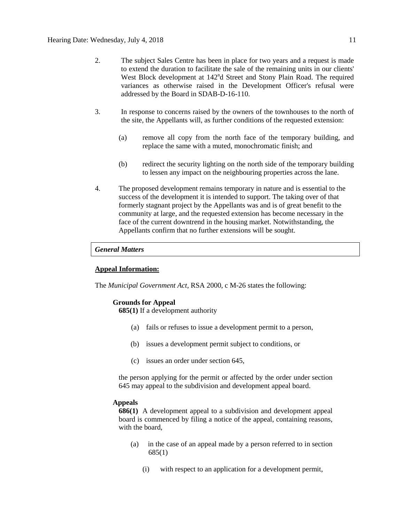- 2. The subject Sales Centre has been in place for two years and a request is made to extend the duration to facilitate the sale of the remaining units in our clients' West Block development at 142<sup>n</sup>d Street and Stony Plain Road. The required variances as otherwise raised in the Development Officer's refusal were addressed by the Board in SDAB-D-16-110.
- 3. In response to concerns raised by the owners of the townhouses to the north of the site, the Appellants will, as further conditions of the requested extension:
	- (a) remove all copy from the north face of the temporary building, and replace the same with a muted, monochromatic finish; and
	- (b) redirect the security lighting on the north side of the temporary building to lessen any impact on the neighbouring properties across the lane.
- 4. The proposed development remains temporary in nature and is essential to the success of the development it is intended to support. The taking over of that formerly stagnant project by the Appellants was and is of great benefit to the community at large, and the requested extension has become necessary in the face of the current downtrend in the housing market. Notwithstanding, the Appellants confirm that no further extensions will be sought.

# *General Matters*

# **Appeal Information:**

The *Municipal Government Act*, RSA 2000, c M-26 states the following:

## **Grounds for Appeal**

**685(1)** If a development authority

- (a) fails or refuses to issue a development permit to a person,
- (b) issues a development permit subject to conditions, or
- (c) issues an order under section 645,

the person applying for the permit or affected by the order under section 645 may appeal to the subdivision and development appeal board.

## **Appeals**

**686(1)** A development appeal to a subdivision and development appeal board is commenced by filing a notice of the appeal, containing reasons, with the board,

- (a) in the case of an appeal made by a person referred to in section 685(1)
	- (i) with respect to an application for a development permit,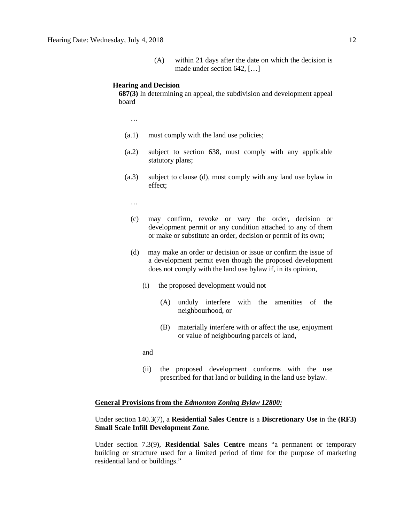(A) within 21 days after the date on which the decision is made under section 642, […]

#### **Hearing and Decision**

**687(3)** In determining an appeal, the subdivision and development appeal board

…

- (a.1) must comply with the land use policies;
- (a.2) subject to section 638, must comply with any applicable statutory plans;
- (a.3) subject to clause (d), must comply with any land use bylaw in effect;

…

- (c) may confirm, revoke or vary the order, decision or development permit or any condition attached to any of them or make or substitute an order, decision or permit of its own;
- (d) may make an order or decision or issue or confirm the issue of a development permit even though the proposed development does not comply with the land use bylaw if, in its opinion,
	- (i) the proposed development would not
		- (A) unduly interfere with the amenities of the neighbourhood, or
		- (B) materially interfere with or affect the use, enjoyment or value of neighbouring parcels of land,

and

(ii) the proposed development conforms with the use prescribed for that land or building in the land use bylaw.

# **General Provisions from the** *Edmonton Zoning Bylaw 12800:*

Under section 140.3(7), a **Residential Sales Centre** is a **Discretionary Use** in the **(RF3) Small Scale Infill Development Zone**.

Under section 7.3(9), **Residential Sales Centre** means "a permanent or temporary building or structure used for a limited period of time for the purpose of marketing residential land or buildings."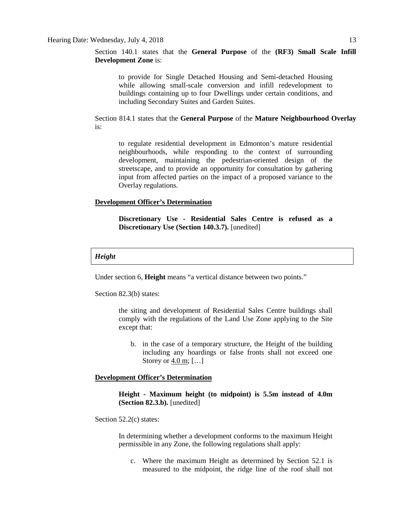Section 140.1 states that the **General Purpose** of the **(RF3) Small Scale Infill Development Zone** is:

to provide for Single Detached Housing and Semi-detached Housing while allowing small-scale conversion and infill redevelopment to buildings containing up to four Dwellings under certain conditions, and including Secondary Suites and Garden Suites.

Section 814.1 states that the **General Purpose** of the **Mature Neighbourhood Overlay** is:

to regulate residential development in Edmonton's mature residential neighbourhoods, while responding to the context of surrounding development, maintaining the pedestrian-oriented design of the streetscape, and to provide an opportunity for consultation by gathering input from affected parties on the impact of a proposed variance to the Overlay regulations.

## **Development Officer's Determination**

**Discretionary Use - Residential Sales Centre is refused as a Discretionary Use (Section 140.3.7).** [unedited]

#### *Height*

Under section 6, **Height** means "a vertical distance between two points."

Section 82.3(b) states:

the siting and development of Residential Sales Centre buildings shall comply with the regulations of the Land Use Zone applying to the Site except that:

b. in the case of a temporary structure, the Height of the building including any hoardings or false fronts shall not exceed one Storey or [4.0](javascript:void(0);) m; […]

# **Development Officer's Determination**

**Height - Maximum height (to midpoint) is 5.5m instead of 4.0m (Section 82.3.b).** [unedited]

Section 52.2(c) states:

In determining whether a development conforms to the maximum Height permissible in any Zone, the following regulations shall apply:

c. Where the maximum Height as determined by Section 52.1 is measured to the midpoint, the ridge line of the roof shall not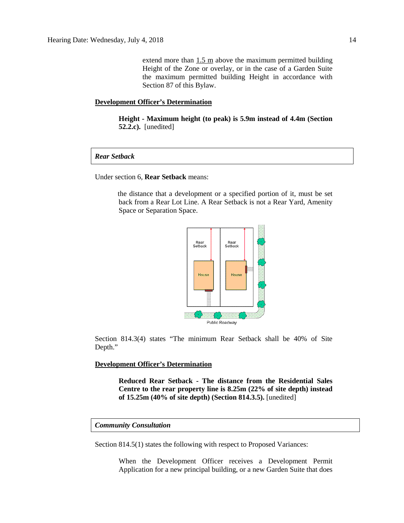extend more than  $1.5 \text{ m}$  above the maximum permitted building Height of the Zone or overlay, or in the case of a Garden Suite the maximum permitted building Height in accordance with Section 87 of this Bylaw.

# **Development Officer's Determination**

**Height - Maximum height (to peak) is 5.9m instead of 4.4m (Section 52.2.c).** [unedited]

*Rear Setback*

Under section 6, **Rear Setback** means:

the distance that a development or a specified portion of it, must be set back from a Rear Lot Line. A Rear Setback is not a Rear Yard, Amenity Space or Separation Space.



Section 814.3(4) states "The minimum Rear Setback shall be 40% of Site Depth."

**Development Officer's Determination**

**Reduced Rear Setback - The distance from the Residential Sales Centre to the rear property line is 8.25m (22% of site depth) instead of 15.25m (40% of site depth) (Section 814.3.5).** [unedited]

#### *Community Consultation*

Section 814.5(1) states the following with respect to Proposed Variances:

When the Development Officer receives a Development Permit Application for a new principal building, or a new Garden Suite that does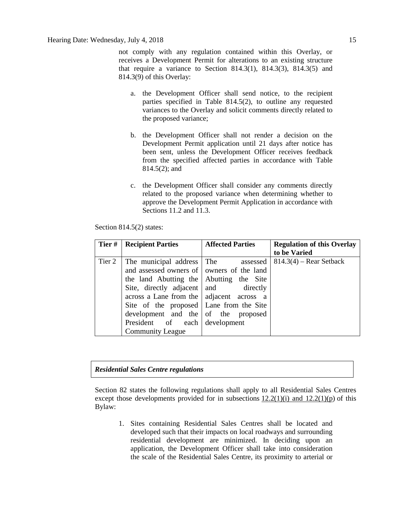not comply with any regulation contained within this Overlay, or receives a Development Permit for alterations to an existing structure that require a variance to Section  $814.3(1)$ ,  $814.3(3)$ ,  $814.3(5)$  and 814.3(9) of this Overlay:

- a. the Development Officer shall send notice, to the recipient parties specified in Table 814.5(2), to outline any requested variances to the Overlay and solicit comments directly related to the proposed variance;
- b. the Development Officer shall not render a decision on the Development Permit application until 21 days after notice has been sent, unless the Development Officer receives feedback from the specified affected parties in accordance with Table 814.5(2); and
- c. the Development Officer shall consider any comments directly related to the proposed variance when determining whether to approve the Development Permit Application in accordance with Sections 11.2 and 11.3.

| Section $814.5(2)$ states: |  |
|----------------------------|--|
|                            |  |

| Tier#  | <b>Recipient Parties</b>                  | <b>Affected Parties</b> | <b>Regulation of this Overlay</b> |
|--------|-------------------------------------------|-------------------------|-----------------------------------|
|        |                                           |                         | to be Varied                      |
| Tier 2 | The municipal address The assessed        |                         | $814.3(4)$ – Rear Setback         |
|        | and assessed owners of owners of the land |                         |                                   |
|        | the land Abutting the Abutting the Site   |                         |                                   |
|        | Site, directly adjacent and directly      |                         |                                   |
|        | across a Lane from the adjacent across a  |                         |                                   |
|        | Site of the proposed Lane from the Site   |                         |                                   |
|        | development and the of the proposed       |                         |                                   |
|        | President of each development             |                         |                                   |
|        | <b>Community League</b>                   |                         |                                   |

# *Residential Sales Centre regulations*

Section 82 states the following regulations shall apply to all Residential Sales Centres except those developments provided for in subsections  $12.2(1)(i)$  and  $12.2(1)(p)$  of this Bylaw:

1. Sites containing Residential Sales Centres shall be located and developed such that their impacts on local roadways and surrounding residential development are minimized. In deciding upon an application, the Development Officer shall take into consideration the scale of the Residential Sales Centre, its proximity to arterial or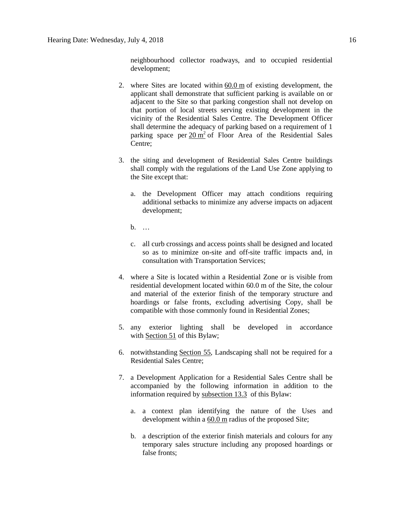neighbourhood collector roadways, and to occupied residential development;

- 2. where Sites are located within [60.0](javascript:void(0);) m of existing development, the applicant shall demonstrate that sufficient parking is available on or adjacent to the Site so that parking congestion shall not develop on that portion of local streets serving existing development in the vicinity of the Residential Sales Centre. The Development Officer shall determine the adequacy of parking based on a requirement of 1 parking space per  $20 \text{ m}^2$  of Floor Area of the Residential Sales Centre;
- 3. the siting and development of Residential Sales Centre buildings shall comply with the regulations of the Land Use Zone applying to the Site except that:
	- a. the Development Officer may attach conditions requiring additional setbacks to minimize any adverse impacts on adjacent development;
	- $h$
	- c. all curb crossings and access points shall be designed and located so as to minimize on-site and off-site traffic impacts and, in consultation with Transportation Services;
- 4. where a Site is located within a Residential Zone or is visible from residential development located within 60.0 m of the Site, the colour and material of the exterior finish of the temporary structure and hoardings or false fronts, excluding advertising Copy, shall be compatible with those commonly found in Residential Zones;
- 5. any exterior lighting shall be developed in accordance with [Section](javascript:void(0);) 51 of this Bylaw;
- 6. notwithstanding [Section 55,](https://webdocs.edmonton.ca/InfraPlan/zoningbylaw/ZoningBylaw/Part1/Development/55__Landscaping.htm) Landscaping shall not be required for a Residential Sales Centre;
- 7. a Development Application for a Residential Sales Centre shall be accompanied by the following information in addition to the information required by [subsection](https://webdocs.edmonton.ca/InfraPlan/zoningbylaw/ZoningBylaw/Part1/Administrative/13_3_Class_B_Discretionary__Development_Excluding_Signs.htm) 13.3 of this Bylaw:
	- a. a context plan identifying the nature of the Uses and development within a [60.0](javascript:void(0);) m radius of the proposed Site;
	- b. a description of the exterior finish materials and colours for any temporary sales structure including any proposed hoardings or false fronts;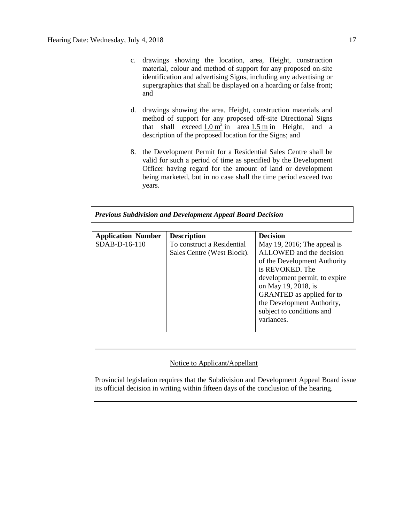- c. drawings showing the location, area, Height, construction material, colour and method of support for any proposed on-site identification and advertising Signs, including any advertising or supergraphics that shall be displayed on a hoarding or false front; and
- d. drawings showing the area, Height, construction materials and method of support for any proposed off-site Directional Signs that shall exceed  $1.0 \text{ m}^2$  $1.0 \text{ m}^2$  in area  $1.5 \text{ m}$  $1.5 \text{ m}$  in Height, and a description of the proposed location for the Signs; and
- 8. the Development Permit for a Residential Sales Centre shall be valid for such a period of time as specified by the Development Officer having regard for the amount of land or development being marketed, but in no case shall the time period exceed two years.

*Previous Subdivision and Development Appeal Board Decision*

| <b>Application Number</b> | <b>Description</b>                                       | <b>Decision</b>                                                                                                                                                                                                                                                   |
|---------------------------|----------------------------------------------------------|-------------------------------------------------------------------------------------------------------------------------------------------------------------------------------------------------------------------------------------------------------------------|
| $SDAB-D-16-110$           | To construct a Residential<br>Sales Centre (West Block). | May 19, 2016; The appeal is<br>ALLOWED and the decision<br>of the Development Authority<br>is REVOKED. The<br>development permit, to expire<br>on May 19, 2018, is<br><b>GRANTED</b> as applied for to<br>the Development Authority,<br>subject to conditions and |
|                           |                                                          | variances.                                                                                                                                                                                                                                                        |

# Notice to Applicant/Appellant

Provincial legislation requires that the Subdivision and Development Appeal Board issue its official decision in writing within fifteen days of the conclusion of the hearing.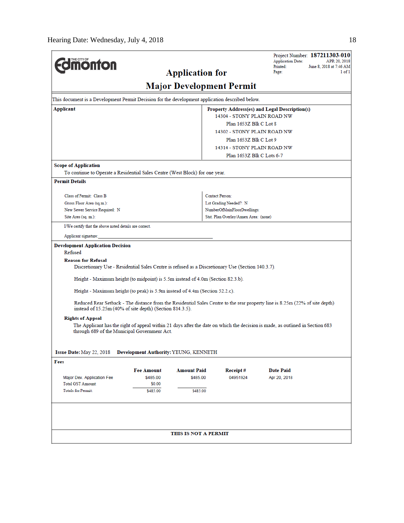|                                                                                                                                |                                       |                                 |                                       | Project Number: 187211303-010<br><b>Application Date:</b><br>APR 20, 2018                                                     |  |  |
|--------------------------------------------------------------------------------------------------------------------------------|---------------------------------------|---------------------------------|---------------------------------------|-------------------------------------------------------------------------------------------------------------------------------|--|--|
| <b><i><u><u><b>MONTON</b></u></u></i></b>                                                                                      |                                       |                                 |                                       | Printed:<br>June 8, 2018 at 7:46 AM                                                                                           |  |  |
|                                                                                                                                |                                       | <b>Application for</b>          |                                       | Page:                                                                                                                         |  |  |
|                                                                                                                                |                                       | <b>Major Development Permit</b> |                                       |                                                                                                                               |  |  |
| This document is a Development Permit Decision for the development application described below.                                |                                       |                                 |                                       |                                                                                                                               |  |  |
| Applicant                                                                                                                      |                                       |                                 |                                       | Property Address(es) and Legal Description(s)                                                                                 |  |  |
|                                                                                                                                |                                       |                                 | 14304 - STONY PLAIN ROAD NW           |                                                                                                                               |  |  |
|                                                                                                                                |                                       |                                 | Plan 1653Z Blk C Lot 8                |                                                                                                                               |  |  |
|                                                                                                                                |                                       | 14302 - STONY PLAIN ROAD NW     |                                       |                                                                                                                               |  |  |
|                                                                                                                                |                                       | Plan 1653Z Blk C Lot 9          |                                       |                                                                                                                               |  |  |
|                                                                                                                                |                                       |                                 | 14314 - STONY PLAIN ROAD NW           |                                                                                                                               |  |  |
|                                                                                                                                |                                       |                                 | Plan 1653Z Blk C Lots 6-7             |                                                                                                                               |  |  |
| <b>Scope of Application</b>                                                                                                    |                                       |                                 |                                       |                                                                                                                               |  |  |
| To continue to Operate a Residential Sales Centre (West Block) for one year.                                                   |                                       |                                 |                                       |                                                                                                                               |  |  |
| <b>Permit Details</b>                                                                                                          |                                       |                                 |                                       |                                                                                                                               |  |  |
| Class of Permit: Class B                                                                                                       |                                       |                                 | <b>Contact Person:</b>                |                                                                                                                               |  |  |
| Gross Floor Area (sq.m.):                                                                                                      |                                       |                                 | Lot Grading Needed?: N                |                                                                                                                               |  |  |
| New Sewer Service Required: N                                                                                                  |                                       |                                 | NumberOfMainFloorDwellings:           |                                                                                                                               |  |  |
| Site Area (sq. m.):                                                                                                            |                                       |                                 | Stat. Plan Overlay/Annex Area: (none) |                                                                                                                               |  |  |
| I/We certify that the above noted details are correct.                                                                         |                                       |                                 |                                       |                                                                                                                               |  |  |
| Applicant signature:                                                                                                           |                                       |                                 |                                       |                                                                                                                               |  |  |
| <b>Development Application Decision</b>                                                                                        |                                       |                                 |                                       |                                                                                                                               |  |  |
| Refused                                                                                                                        |                                       |                                 |                                       |                                                                                                                               |  |  |
| <b>Reason for Refusal</b><br>Discretionary Use - Residential Sales Centre is refused as a Discretionary Use (Section 140.3.7). |                                       |                                 |                                       |                                                                                                                               |  |  |
| Height - Maximum height (to midpoint) is 5.5m instead of 4.0m (Section 82.3.b).                                                |                                       |                                 |                                       |                                                                                                                               |  |  |
| Height - Maximum height (to peak) is 5.9m instead of 4.4m (Section 52.2.c).                                                    |                                       |                                 |                                       |                                                                                                                               |  |  |
| instead of 15.25m (40% of site depth) (Section 814.3.5).                                                                       |                                       |                                 |                                       | Reduced Rear Setback - The distance from the Residential Sales Centre to the rear property line is 8.25m (22% of site depth)  |  |  |
| <b>Rights of Appeal</b>                                                                                                        |                                       |                                 |                                       |                                                                                                                               |  |  |
| through 689 of the Municipal Government Act.                                                                                   |                                       |                                 |                                       | The Applicant has the right of appeal within 21 days after the date on which the decision is made, as outlined in Section 683 |  |  |
| Issue Date: May 22, 2018                                                                                                       | Development Authority: YEUNG, KENNETH |                                 |                                       |                                                                                                                               |  |  |
| Fees                                                                                                                           |                                       |                                 |                                       |                                                                                                                               |  |  |
|                                                                                                                                | <b>Fee Amount</b>                     | <b>Amount Paid</b>              | Receipt#                              | <b>Date Paid</b>                                                                                                              |  |  |
| Major Dev. Application Fee                                                                                                     | \$485.00                              | \$485.00                        | 04951924                              | Apr 20, 2018                                                                                                                  |  |  |
| <b>Total GST Amount:</b>                                                                                                       | \$0.00                                |                                 |                                       |                                                                                                                               |  |  |
| <b>Totals for Permit:</b>                                                                                                      | \$485.00                              | \$485.00                        |                                       |                                                                                                                               |  |  |
|                                                                                                                                |                                       |                                 |                                       |                                                                                                                               |  |  |
|                                                                                                                                |                                       |                                 |                                       |                                                                                                                               |  |  |
|                                                                                                                                |                                       | THIS IS NOT A PERMIT            |                                       |                                                                                                                               |  |  |
|                                                                                                                                |                                       |                                 |                                       |                                                                                                                               |  |  |